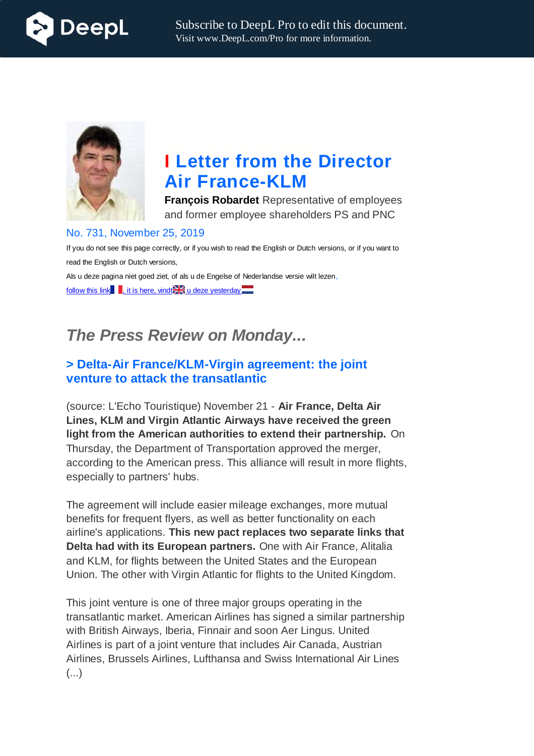



# **I Letter from the Director Air France-KLM**

**François Robardet** Representative of employees and former employee shareholders PS and PNC

#### No. 731, November 25, 2019

If you do not see this page correctly, or if you wish to read the English or Dutch versions, or if you want to read the English or Dutch versions, Als u deze pagina niet goed ziet, of als u de Engelse of Nederlandse versie wilt lezen,

follow this link  $\blacksquare$ , it is here, vindt $\blacktriangleright$  u deze yesterday  $\blacksquare$ 

# *The Press Review on Monday...*

# **> Delta-Air France/KLM-Virgin agreement: the joint venture to attack the transatlantic**

(source: L'Echo Touristique) November 21 - **Air France, Delta Air Lines, KLM and Virgin Atlantic Airways have received the green light from the American authorities to extend their partnership.** On Thursday, the Department of Transportation approved the merger, according to the American press. This alliance will result in more flights, especially to partners' hubs.

The agreement will include easier mileage exchanges, more mutual benefits for frequent flyers, as well as better functionality on each airline's applications. **This new pact replaces two separate links that Delta had with its European partners.** One with Air France, Alitalia and KLM, for flights between the United States and the European Union. The other with Virgin Atlantic for flights to the United Kingdom.

This joint venture is one of three major groups operating in the transatlantic market. American Airlines has signed a similar partnership with British Airways, Iberia, Finnair and soon Aer Lingus. United Airlines is part of a joint venture that includes Air Canada, Austrian Airlines, Brussels Airlines, Lufthansa and Swiss International Air Lines (...)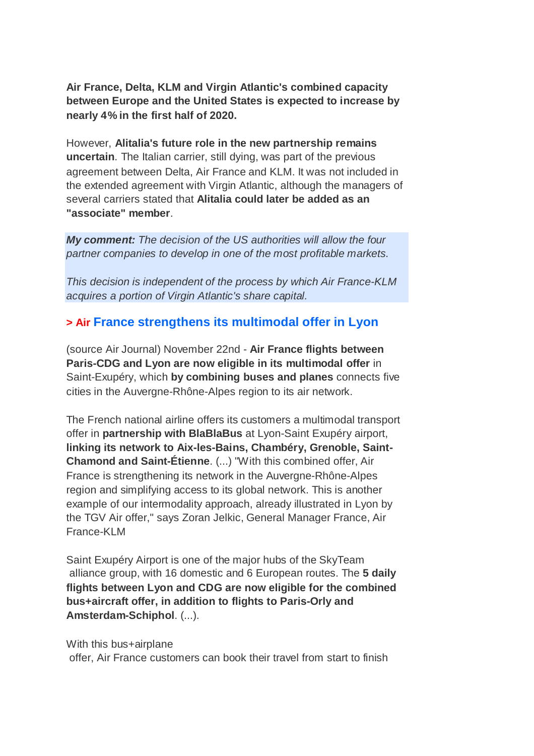**Air France, Delta, KLM and Virgin Atlantic's combined capacity between Europe and the United States is expected to increase by nearly 4% in the first half of 2020.**

However, **Alitalia's future role in the new partnership remains uncertain**. The Italian carrier, still dying, was part of the previous agreement between Delta, Air France and KLM. It was not included in the extended agreement with Virgin Atlantic, although the managers of several carriers stated that **Alitalia could later be added as an "associate" member**.

*My comment: The decision of the US authorities will allow the four partner companies to develop in one of the most profitable markets.*

*This decision is independent of the process by which Air France-KLM acquires a portion of Virgin Atlantic's share capital.*

# **> Air France strengthens its multimodal offer in Lyon**

(source Air Journal) November 22nd - **Air France flights between Paris-CDG and Lyon are now eligible in its multimodal offer** in Saint-Exupéry, which **by combining buses and planes** connects five cities in the Auvergne-Rhône-Alpes region to its air network.

The French national airline offers its customers a multimodal transport offer in **partnership with BlaBlaBus** at Lyon-Saint Exupéry airport, **linking its network to Aix-les-Bains, Chambéry, Grenoble, Saint-Chamond and Saint-Étienne**. (...) "With this combined offer, Air France is strengthening its network in the Auvergne-Rhône-Alpes region and simplifying access to its global network. This is another example of our intermodality approach, already illustrated in Lyon by the TGV Air offer," says Zoran Jelkic, General Manager France, Air France-KLM

Saint Exupéry Airport is one of the major hubs of the SkyTeam alliance group, with 16 domestic and 6 European routes. The **5 daily flights between Lyon and CDG are now eligible for the combined bus+aircraft offer, in addition to flights to Paris-Orly and Amsterdam-Schiphol**. (...).

With this bus+airplane offer, Air France customers can book their travel from start to finish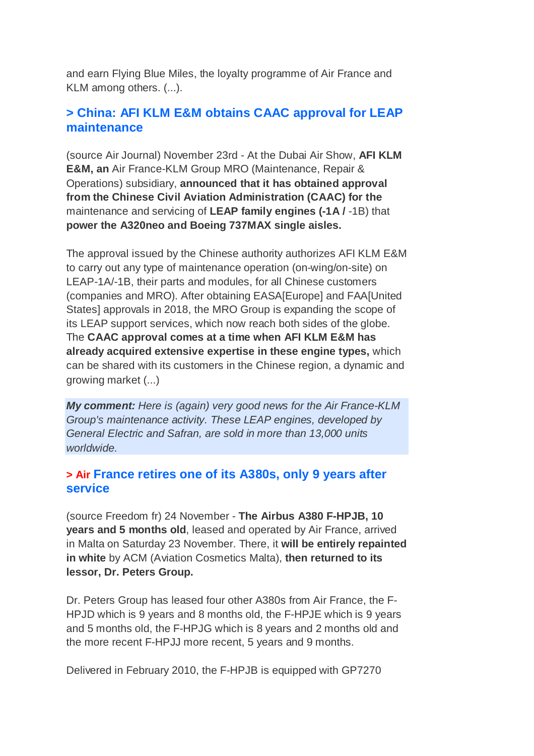and earn Flying Blue Miles, the loyalty programme of Air France and KLM among others. (...).

# **> China: AFI KLM E&M obtains CAAC approval for LEAP maintenance**

(source Air Journal) November 23rd - At the Dubai Air Show, **AFI KLM E&M, an** Air France-KLM Group MRO (Maintenance, Repair & Operations) subsidiary, **announced that it has obtained approval from the Chinese Civil Aviation Administration (CAAC) for the** maintenance and servicing of **LEAP family engines (-1A /** -1B) that **power the A320neo and Boeing 737MAX single aisles.**

The approval issued by the Chinese authority authorizes AFI KLM E&M to carry out any type of maintenance operation (on-wing/on-site) on LEAP-1A/-1B, their parts and modules, for all Chinese customers (companies and MRO). After obtaining EASA[Europe] and FAA[United States] approvals in 2018, the MRO Group is expanding the scope of its LEAP support services, which now reach both sides of the globe. The **CAAC approval comes at a time when AFI KLM E&M has already acquired extensive expertise in these engine types,** which can be shared with its customers in the Chinese region, a dynamic and growing market (...)

*My comment: Here is (again) very good news for the Air France-KLM Group's maintenance activity. These LEAP engines, developed by General Electric and Safran, are sold in more than 13,000 units worldwide.*

# **> Air France retires one of its A380s, only 9 years after service**

(source Freedom fr) 24 November - **The Airbus A380 F-HPJB, 10 years and 5 months old**, leased and operated by Air France, arrived in Malta on Saturday 23 November. There, it **will be entirely repainted in white** by ACM (Aviation Cosmetics Malta), **then returned to its lessor, Dr. Peters Group.**

Dr. Peters Group has leased four other A380s from Air France, the F-HPJD which is 9 years and 8 months old, the F-HPJE which is 9 years and 5 months old, the F-HPJG which is 8 years and 2 months old and the more recent F-HPJJ more recent, 5 years and 9 months.

Delivered in February 2010, the F-HPJB is equipped with GP7270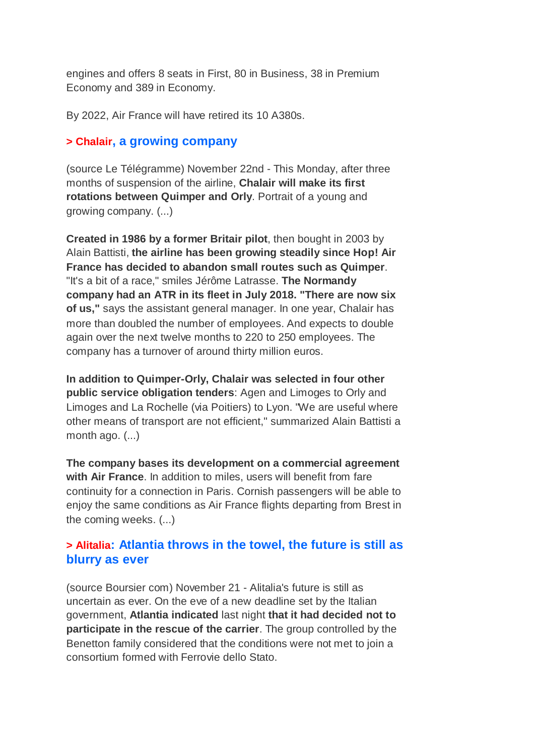engines and offers 8 seats in First, 80 in Business, 38 in Premium Economy and 389 in Economy.

By 2022, Air France will have retired its 10 A380s.

### **> Chalair, a growing company**

(source Le Télégramme) November 22nd - This Monday, after three months of suspension of the airline, **Chalair will make its first rotations between Quimper and Orly**. Portrait of a young and growing company. (...)

**Created in 1986 by a former Britair pilot**, then bought in 2003 by Alain Battisti, **the airline has been growing steadily since Hop! Air France has decided to abandon small routes such as Quimper**. "It's a bit of a race," smiles Jérôme Latrasse. **The Normandy company had an ATR in its fleet in July 2018. "There are now six of us,"** says the assistant general manager. In one year, Chalair has more than doubled the number of employees. And expects to double again over the next twelve months to 220 to 250 employees. The company has a turnover of around thirty million euros.

**In addition to Quimper-Orly, Chalair was selected in four other public service obligation tenders**: Agen and Limoges to Orly and Limoges and La Rochelle (via Poitiers) to Lyon. "We are useful where other means of transport are not efficient," summarized Alain Battisti a month ago. (...)

**The company bases its development on a commercial agreement with Air France**. In addition to miles, users will benefit from fare continuity for a connection in Paris. Cornish passengers will be able to enjoy the same conditions as Air France flights departing from Brest in the coming weeks. (...)

# **> Alitalia: Atlantia throws in the towel, the future is still as blurry as ever**

(source Boursier com) November 21 - Alitalia's future is still as uncertain as ever. On the eve of a new deadline set by the Italian government, **Atlantia indicated** last night **that it had decided not to participate in the rescue of the carrier**. The group controlled by the Benetton family considered that the conditions were not met to join a consortium formed with Ferrovie dello Stato.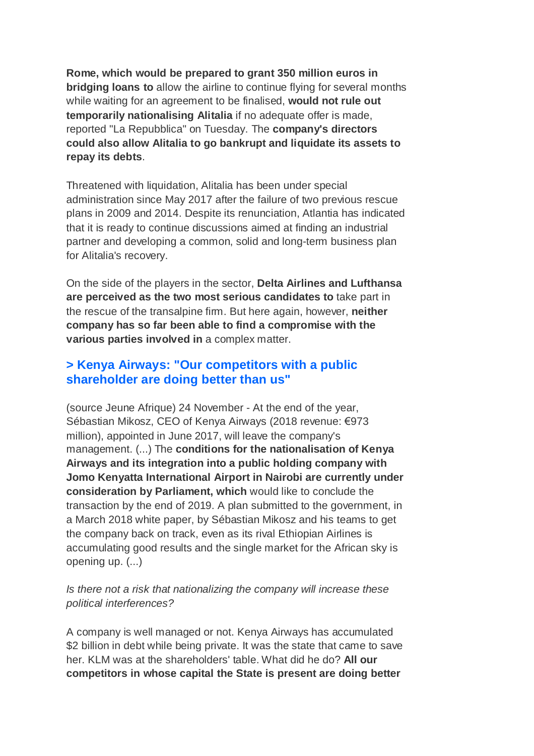**Rome, which would be prepared to grant 350 million euros in bridging loans to** allow the airline to continue flying for several months while waiting for an agreement to be finalised, **would not rule out temporarily nationalising Alitalia** if no adequate offer is made, reported "La Repubblica" on Tuesday. The **company's directors could also allow Alitalia to go bankrupt and liquidate its assets to repay its debts**.

Threatened with liquidation, Alitalia has been under special administration since May 2017 after the failure of two previous rescue plans in 2009 and 2014. Despite its renunciation, Atlantia has indicated that it is ready to continue discussions aimed at finding an industrial partner and developing a common, solid and long-term business plan for Alitalia's recovery.

On the side of the players in the sector, **Delta Airlines and Lufthansa are perceived as the two most serious candidates to** take part in the rescue of the transalpine firm. But here again, however, **neither company has so far been able to find a compromise with the various parties involved in** a complex matter.

# **> Kenya Airways: "Our competitors with a public shareholder are doing better than us"**

(source Jeune Afrique) 24 November - At the end of the year, Sébastian Mikosz, CEO of Kenya Airways (2018 revenue: €973 million), appointed in June 2017, will leave the company's management. (...) The **conditions for the nationalisation of Kenya Airways and its integration into a public holding company with Jomo Kenyatta International Airport in Nairobi are currently under consideration by Parliament, which** would like to conclude the transaction by the end of 2019. A plan submitted to the government, in a March 2018 white paper, by Sébastian Mikosz and his teams to get the company back on track, even as its rival Ethiopian Airlines is accumulating good results and the single market for the African sky is opening up. (...)

#### *Is there not a risk that nationalizing the company will increase these political interferences?*

A company is well managed or not. Kenya Airways has accumulated \$2 billion in debt while being private. It was the state that came to save her. KLM was at the shareholders' table. What did he do? **All our competitors in whose capital the State is present are doing better**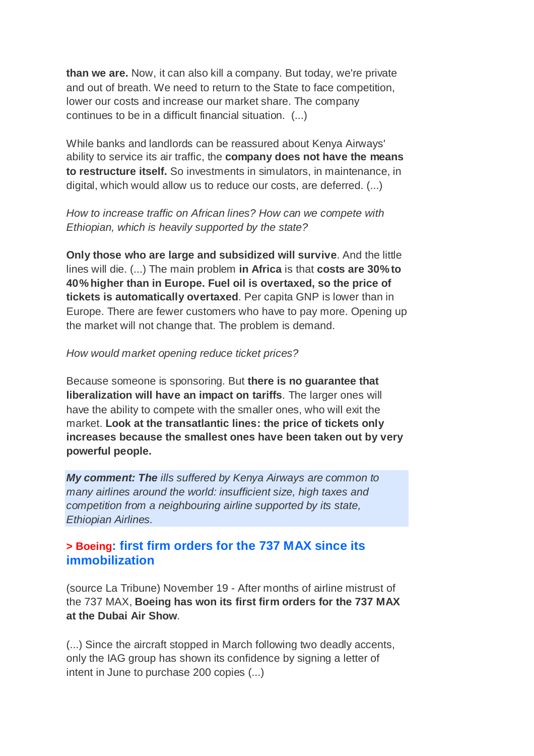**than we are.** Now, it can also kill a company. But today, we're private and out of breath. We need to return to the State to face competition, lower our costs and increase our market share. The company continues to be in a difficult financial situation. (...)

While banks and landlords can be reassured about Kenya Airways' ability to service its air traffic, the **company does not have the means to restructure itself.** So investments in simulators, in maintenance, in digital, which would allow us to reduce our costs, are deferred. (...)

*How to increase traffic on African lines? How can we compete with Ethiopian, which is heavily supported by the state?*

**Only those who are large and subsidized will survive**. And the little lines will die. (...) The main problem **in Africa** is that **costs are 30% to 40% higher than in Europe. Fuel oil is overtaxed, so the price of tickets is automatically overtaxed**. Per capita GNP is lower than in Europe. There are fewer customers who have to pay more. Opening up the market will not change that. The problem is demand.

#### *How would market opening reduce ticket prices?*

Because someone is sponsoring. But **there is no guarantee that liberalization will have an impact on tariffs**. The larger ones will have the ability to compete with the smaller ones, who will exit the market. **Look at the transatlantic lines: the price of tickets only increases because the smallest ones have been taken out by very powerful people.**

*My comment: The ills suffered by Kenya Airways are common to many airlines around the world: insufficient size, high taxes and competition from a neighbouring airline supported by its state, Ethiopian Airlines.*

# **> Boeing: first firm orders for the 737 MAX since its immobilization**

(source La Tribune) November 19 - After months of airline mistrust of the 737 MAX, **Boeing has won its first firm orders for the 737 MAX at the Dubai Air Show**.

(...) Since the aircraft stopped in March following two deadly accents, only the IAG group has shown its confidence by signing a letter of intent in June to purchase 200 copies (...)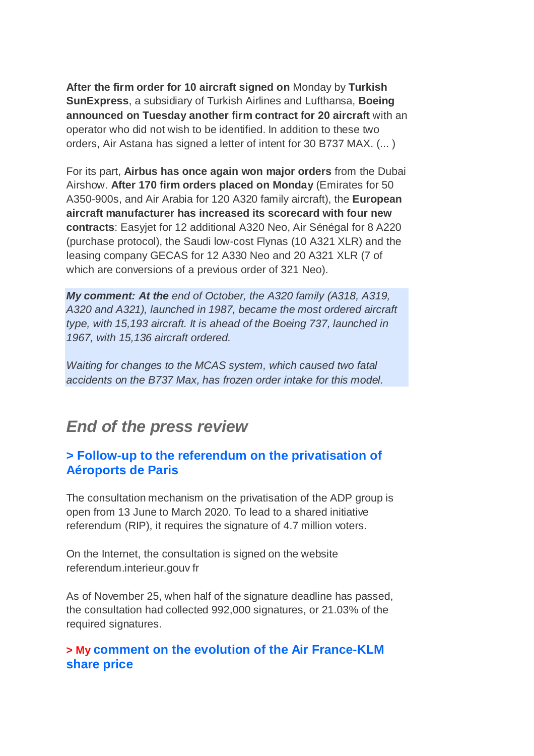**After the firm order for 10 aircraft signed on** Monday by **Turkish SunExpress**, a subsidiary of Turkish Airlines and Lufthansa, **Boeing announced on Tuesday another firm contract for 20 aircraft** with an operator who did not wish to be identified. In addition to these two orders, Air Astana has signed a letter of intent for 30 B737 MAX. (... )

For its part, **Airbus has once again won major orders** from the Dubai Airshow. **After 170 firm orders placed on Monday** (Emirates for 50 A350-900s, and Air Arabia for 120 A320 family aircraft), the **European aircraft manufacturer has increased its scorecard with four new contracts**: Easyjet for 12 additional A320 Neo, Air Sénégal for 8 A220 (purchase protocol), the Saudi low-cost Flynas (10 A321 XLR) and the leasing company GECAS for 12 A330 Neo and 20 A321 XLR (7 of which are conversions of a previous order of 321 Neo).

*My comment: At the end of October, the A320 family (A318, A319, A320 and A321), launched in 1987, became the most ordered aircraft type, with 15,193 aircraft. It is ahead of the Boeing 737, launched in 1967, with 15,136 aircraft ordered.*

*Waiting for changes to the MCAS system, which caused two fatal accidents on the B737 Max, has frozen order intake for this model.*

# *End of the press review*

# **> Follow-up to the referendum on the privatisation of Aéroports de Paris**

The consultation mechanism on the privatisation of the ADP group is open from 13 June to March 2020. To lead to a shared initiative referendum (RIP), it requires the signature of 4.7 million voters.

On the Internet, the consultation is signed on the website referendum.interieur.gouv fr

As of November 25, when half of the signature deadline has passed, the consultation had collected 992,000 signatures, or 21.03% of the required signatures.

# **> My comment on the evolution of the Air France-KLM share price**